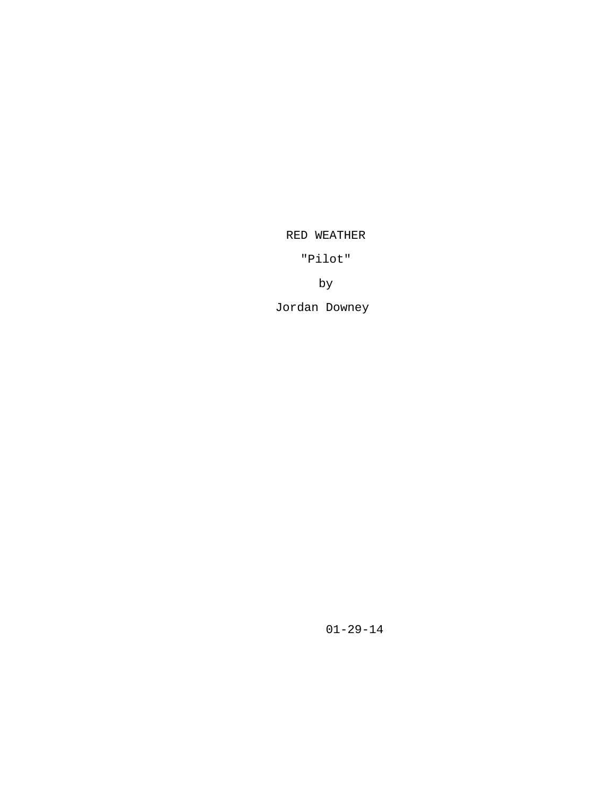## RED WEATHER

"Pilot"

by

Jordan Downey

01-29-14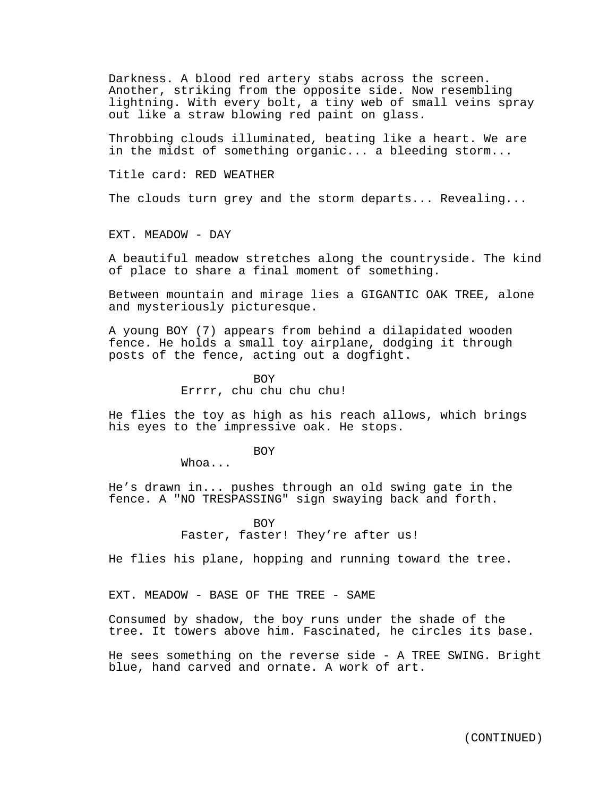Darkness. A blood red artery stabs across the screen. Another, striking from the opposite side. Now resembling lightning. With every bolt, a tiny web of small veins spray out like a straw blowing red paint on glass.

Throbbing clouds illuminated, beating like a heart. We are in the midst of something organic... a bleeding storm...

Title card: RED WEATHER

The clouds turn grey and the storm departs... Revealing...

EXT. MEADOW - DAY

A beautiful meadow stretches along the countryside. The kind of place to share a final moment of something.

Between mountain and mirage lies a GIGANTIC OAK TREE, alone and mysteriously picturesque.

A young BOY (7) appears from behind a dilapidated wooden fence. He holds a small toy airplane, dodging it through posts of the fence, acting out a dogfight.

> BOY Errrr, chu chu chu chu!

He flies the toy as high as his reach allows, which brings his eyes to the impressive oak. He stops.

**BOY** 

Whoa...

He's drawn in... pushes through an old swing gate in the fence. A "NO TRESPASSING" sign swaying back and forth.

> BOY Faster, faster! They're after us!

He flies his plane, hopping and running toward the tree.

EXT. MEADOW - BASE OF THE TREE - SAME

Consumed by shadow, the boy runs under the shade of the tree. It towers above him. Fascinated, he circles its base.

He sees something on the reverse side - A TREE SWING. Bright blue, hand carved and ornate. A work of art.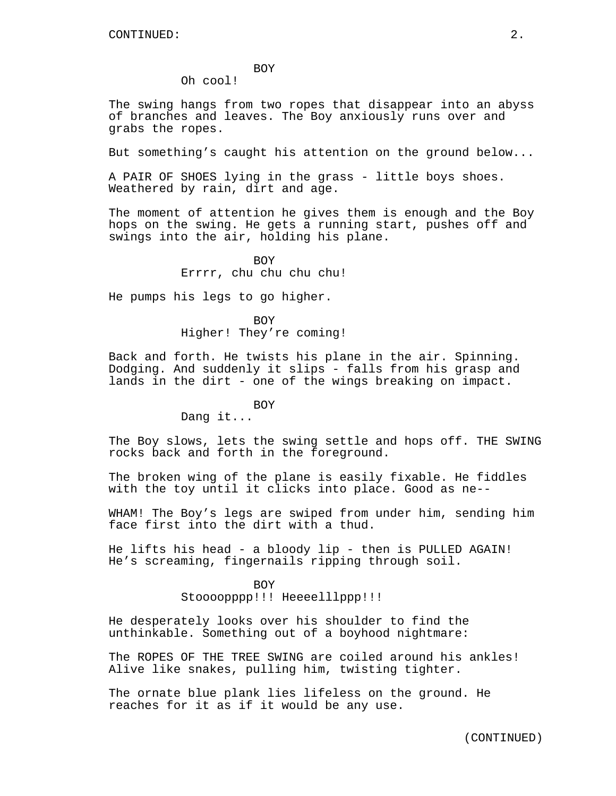## BOY

Oh cool!

The swing hangs from two ropes that disappear into an abyss of branches and leaves. The Boy anxiously runs over and grabs the ropes.

But something's caught his attention on the ground below...

A PAIR OF SHOES lying in the grass - little boys shoes. Weathered by rain, dirt and age.

The moment of attention he gives them is enough and the Boy hops on the swing. He gets a running start, pushes off and swings into the air, holding his plane.

> BOY Errrr, chu chu chu chu!

He pumps his legs to go higher.

BOY Higher! They're coming!

Back and forth. He twists his plane in the air. Spinning. Dodging. And suddenly it slips - falls from his grasp and lands in the dirt - one of the wings breaking on impact.

BOY

Dang it...

The Boy slows, lets the swing settle and hops off. THE SWING rocks back and forth in the foreground.

The broken wing of the plane is easily fixable. He fiddles with the toy until it clicks into place. Good as ne--

WHAM! The Boy's legs are swiped from under him, sending him face first into the dirt with a thud.

He lifts his head - a bloody lip - then is PULLED AGAIN! He's screaming, fingernails ripping through soil.

> BOY Stoooopppp!!! Heeeelllppp!!!

He desperately looks over his shoulder to find the unthinkable. Something out of a boyhood nightmare:

The ROPES OF THE TREE SWING are coiled around his ankles! Alive like snakes, pulling him, twisting tighter.

The ornate blue plank lies lifeless on the ground. He reaches for it as if it would be any use.

(CONTINUED)